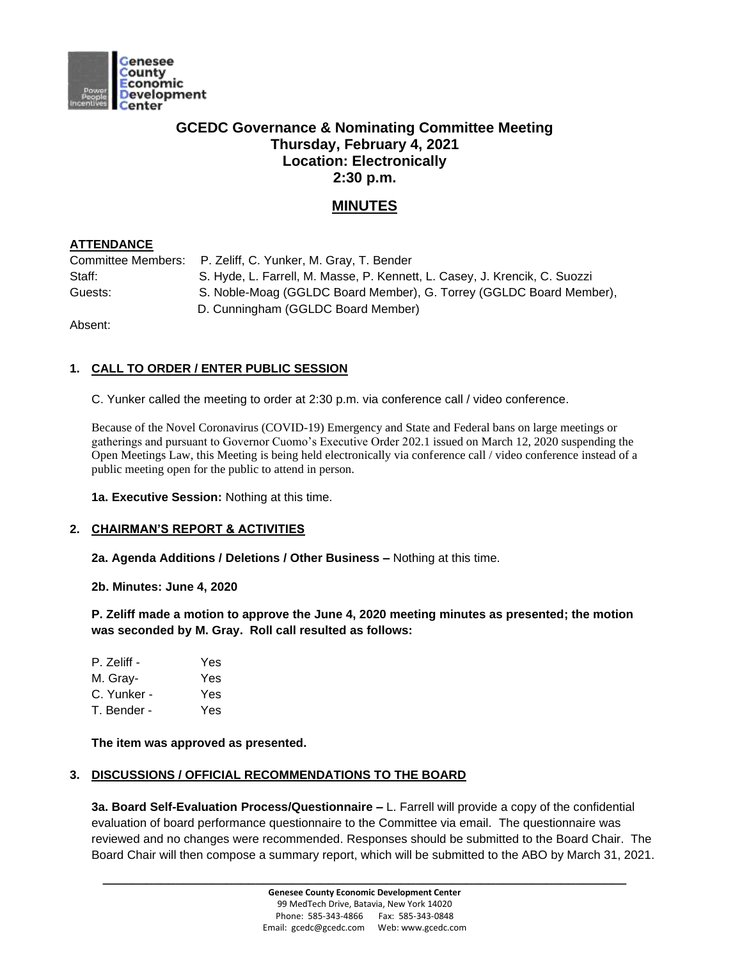

# **GCEDC Governance & Nominating Committee Meeting Thursday, February 4, 2021 Location: Electronically 2:30 p.m.**

## **MINUTES**

## **ATTENDANCE**

| Staff:  | S. Hyde, L. Farrell, M. Masse, P. Kennett, L. Casey, J. Krencik, C. Suozzi |
|---------|----------------------------------------------------------------------------|
| Guests: | S. Noble-Moag (GGLDC Board Member), G. Torrey (GGLDC Board Member),        |
|         | D. Cunningham (GGLDC Board Member)                                         |

Absent:

## **1. CALL TO ORDER / ENTER PUBLIC SESSION**

C. Yunker called the meeting to order at 2:30 p.m. via conference call / video conference.

Because of the Novel Coronavirus (COVID-19) Emergency and State and Federal bans on large meetings or gatherings and pursuant to Governor Cuomo's Executive Order 202.1 issued on March 12, 2020 suspending the Open Meetings Law, this Meeting is being held electronically via conference call / video conference instead of a public meeting open for the public to attend in person.

**1a. Executive Session:** Nothing at this time.

#### **2. CHAIRMAN'S REPORT & ACTIVITIES**

**2a. Agenda Additions / Deletions / Other Business –** Nothing at this time.

**2b. Minutes: June 4, 2020**

**P. Zeliff made a motion to approve the June 4, 2020 meeting minutes as presented; the motion was seconded by M. Gray. Roll call resulted as follows:**

| P. Zeliff - | Yes |
|-------------|-----|
| M. Gray-    | Yes |
| C. Yunker - | Yes |
| T. Bender - | Yes |

**The item was approved as presented.** 

#### **3. DISCUSSIONS / OFFICIAL RECOMMENDATIONS TO THE BOARD**

**3a. Board Self-Evaluation Process/Questionnaire –** L. Farrell will provide a copy of the confidential evaluation of board performance questionnaire to the Committee via email. The questionnaire was reviewed and no changes were recommended. Responses should be submitted to the Board Chair. The Board Chair will then compose a summary report, which will be submitted to the ABO by March 31, 2021.

**\_\_\_\_\_\_\_\_\_\_\_\_\_\_\_\_\_\_\_\_\_\_\_\_\_\_\_\_\_\_\_\_\_\_\_\_\_\_\_\_\_\_\_\_\_\_\_\_\_\_\_\_\_\_\_\_\_\_\_\_\_\_\_\_\_\_\_\_\_\_\_\_**